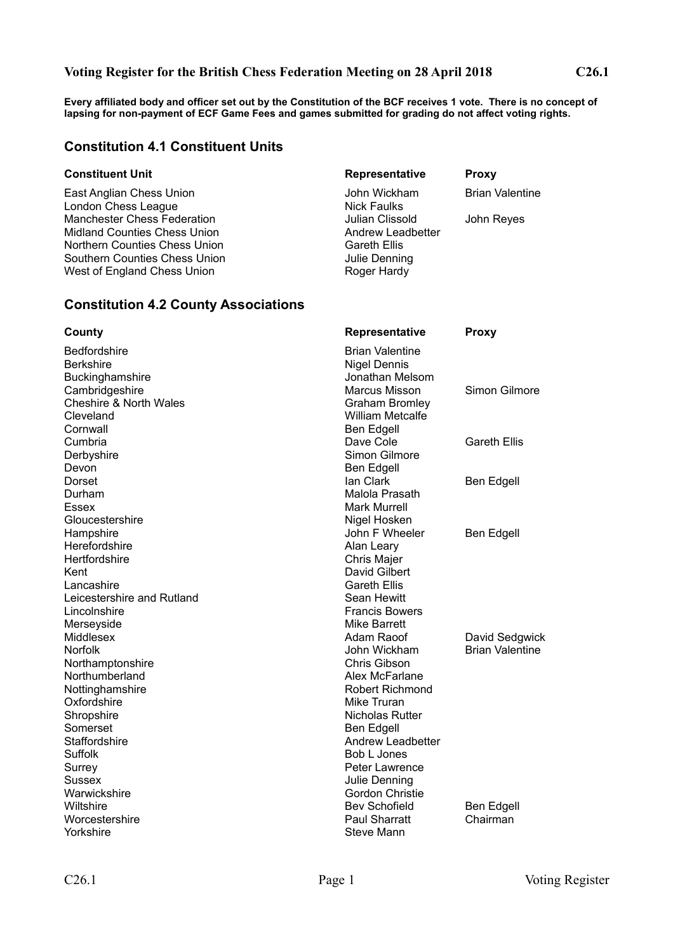## **Voting Register for the British Chess Federation Meeting on 28 April 2018 C26.1**

**Every affiliated body and officer set out by the Constitution of the BCF receives 1 vote. There is no concept of lapsing for non-payment of ECF Game Fees and games submitted for grading do not affect voting rights.**

## **Constitution 4.1 Constituent Units**

### **Constituent Unit Representative Proxy**

London Chess League Nick Faulks Midland Counties Chess Union Andrew Leadbetter Northern Counties Chess Union Gareth Ellis Southern Counties Chess Union **Julie Denning** West of England Chess Union Roger Hardy Roger Hardy

## **Constitution 4.2 County Associations**

Bedfordshire **Brian Valentine** Berkshire Nigel Dennis Buckinghamshire **Buckinghamshire** Jonathan Melsom Cambridgeshire **Marcus Misson** Simon Gilmore Cheshire & North Wales Graham Bromley Cleveland William Metcalfe Cornwall **Ben Edgell** Cumbria Dave Cole Gareth Ellis Derbyshire Simon Gilmore Devon Ben Edgell Dorset **Ian Clark Ben Edgell** Ben Edgell Ben Edgell Ben Edgell Ben Edgell Ben Edgell Ben Edgell Ben Edgell Ben Edgell Durham Malola Prasath Essex Mark Murrell National Accounts Assext Mark Murrell National Accounts Accounts Mark Murrell Gloucestershire **Nigel Hosken** Nigel Hosken Hampshire **Hampshire Hampshire Hampshire Ben Edgell** Herefordshire **Alan Leary** Hertfordshire Chris Majer Kent **David Gilbert** Lancashire **Careth Ellis** Leicestershire and Rutland **Sean Hewitt** Lincolnshire **Francis Bowers** Merseyside **Metally Strategies** Mike Barrett Middlesex **Adam Raoof** David Sedgwick Norfolk John Wickham Brian Valentine Northamptonshire **Chris Gibson** Northumberland **Alex McFarlane** Nottinghamshire **Notes Robert Richmond** Oxfordshire Mike Truran Mike Truran Shropshire Nicholas Rutter Somerset Ben Edgell<br>Staffordshire Ben Edgell<br>Andrew Lea Suffolk **Bob L Jones** Surrey **Surrey Account Contract Contract Contract Contract Contract Contract Contract Contract Contract Contract Contract Contract Contract Contract Contract Contract Contract Contract Contract Contract Contract Contract C** Sussex **Sussex Sussex Julie Denning** Warwickshire **Gordon** Christie Wiltshire **Bev Schofield** Ben Edgell Worcestershire **Paul Sharratt** Chairman Yorkshire Steve Mann

# East Anglian Chess Union John Wickham Brian Valentine Manchester Chess Federation Julian Clissold John Reyes

**County Representative Proxy** Andrew Leadbetter